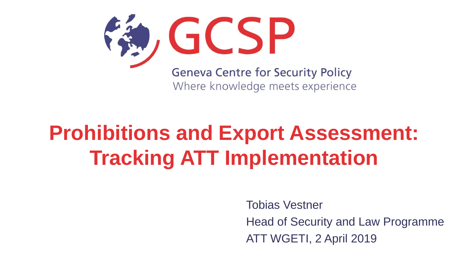

## **Prohibitions and Export Assessment: Tracking ATT Implementation**

Tobias Vestner Head of Security and Law Programme ATT WGETI, 2 April 2019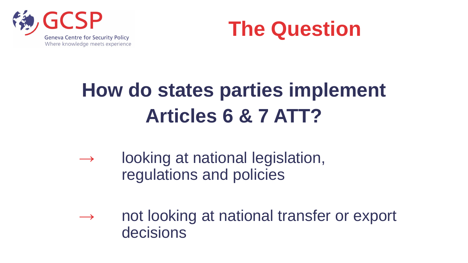



#### **How do states parties implement Articles 6 & 7 ATT?**

- $\rightarrow$  looking at national legislation, regulations and policies
- $\rightarrow$  not looking at national transfer or export decisions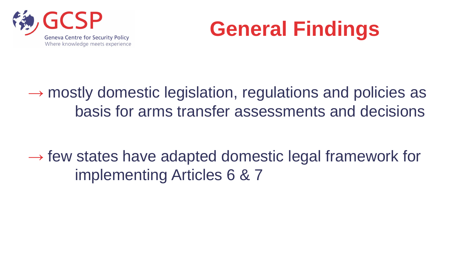



 $\rightarrow$  mostly domestic legislation, regulations and policies as basis for arms transfer assessments and decisions

 $\rightarrow$  few states have adapted domestic legal framework for implementing Articles 6 & 7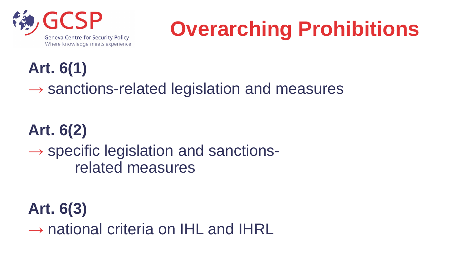

# **Overarching Prohibitions**

**Art. 6(1)**

 $\rightarrow$  sanctions-related legislation and measures

#### **Art. 6(2)**

 $\rightarrow$  specific legislation and sanctionsrelated measures

**Art. 6(3)**  $\rightarrow$  national criteria on IHL and IHRL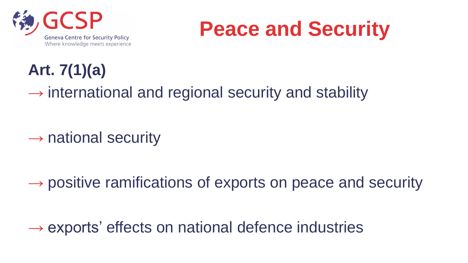

### **Peace and Security**

#### **Art. 7(1)(a)**

 $\rightarrow$  international and regional security and stability

 $\rightarrow$  national security

 $\rightarrow$  positive ramifications of exports on peace and security

 $\rightarrow$  exports' effects on national defence industries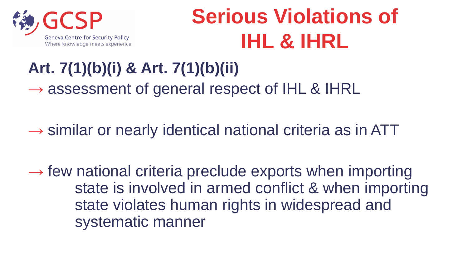

## **Serious Violations of IHL & IHRL**

#### **Art. 7(1)(b)(i) & Art. 7(1)(b)(ii)**   $\rightarrow$  assessment of general respect of IHL & IHRL

 $\rightarrow$  similar or nearly identical national criteria as in ATT

 $\rightarrow$  few national criteria preclude exports when importing state is involved in armed conflict & when importing state violates human rights in widespread and systematic manner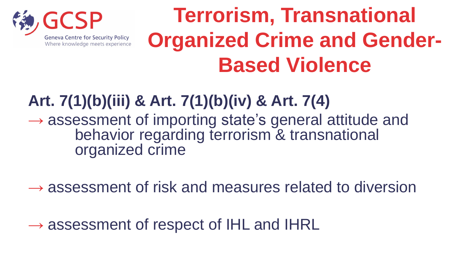

## **Terrorism, Transnational Organized Crime and Gender-Based Violence**

**Art. 7(1)(b)(iii) & Art. 7(1)(b)(iv) & Art. 7(4)**   $\rightarrow$  assessment of importing state's general attitude and behavior regarding terrorism & transnational organized crime

 $\rightarrow$  assessment of risk and measures related to diversion

 $\rightarrow$  assessment of respect of IHL and IHRL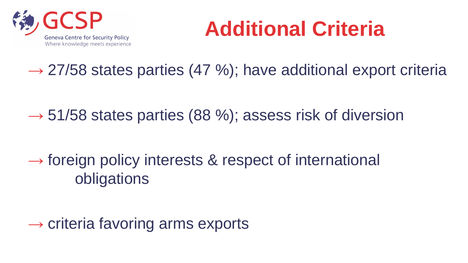

## **Additional Criteria**

 $\rightarrow$  27/58 states parties (47 %); have additional export criteria

 $\rightarrow$  51/58 states parties (88 %); assess risk of diversion

 $\rightarrow$  foreign policy interests & respect of international obligations

 $\rightarrow$  criteria favoring arms exports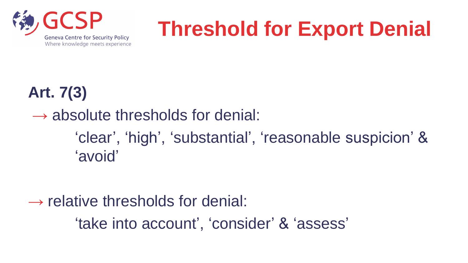

## **Threshold for Export Denial**

#### **Art. 7(3)**

 $\rightarrow$  absolute thresholds for denial: 'clear', 'high', 'substantial', 'reasonable suspicion' & 'avoid'

#### $\rightarrow$  relative thresholds for denial:

'take into account', 'consider' & 'assess'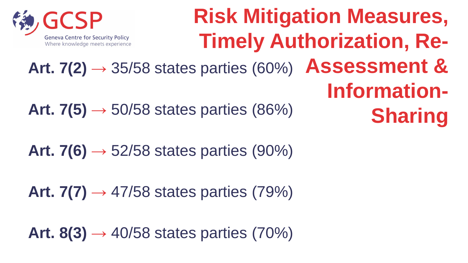

#### **Risk Mitigation Measures, Timely Authorization, Re-Assessment & Information-Sharing** Art.  $7(2) \rightarrow 35/58$  states parties (60%) Art.  $7(5) \rightarrow 50/58$  states parties (86%)

Art.  $7(6) \rightarrow 52/58$  states parties (90%)

Art.  $7(7) \rightarrow 47/58$  states parties (79%)

Art.  $8(3) \rightarrow 40/58$  states parties (70%)